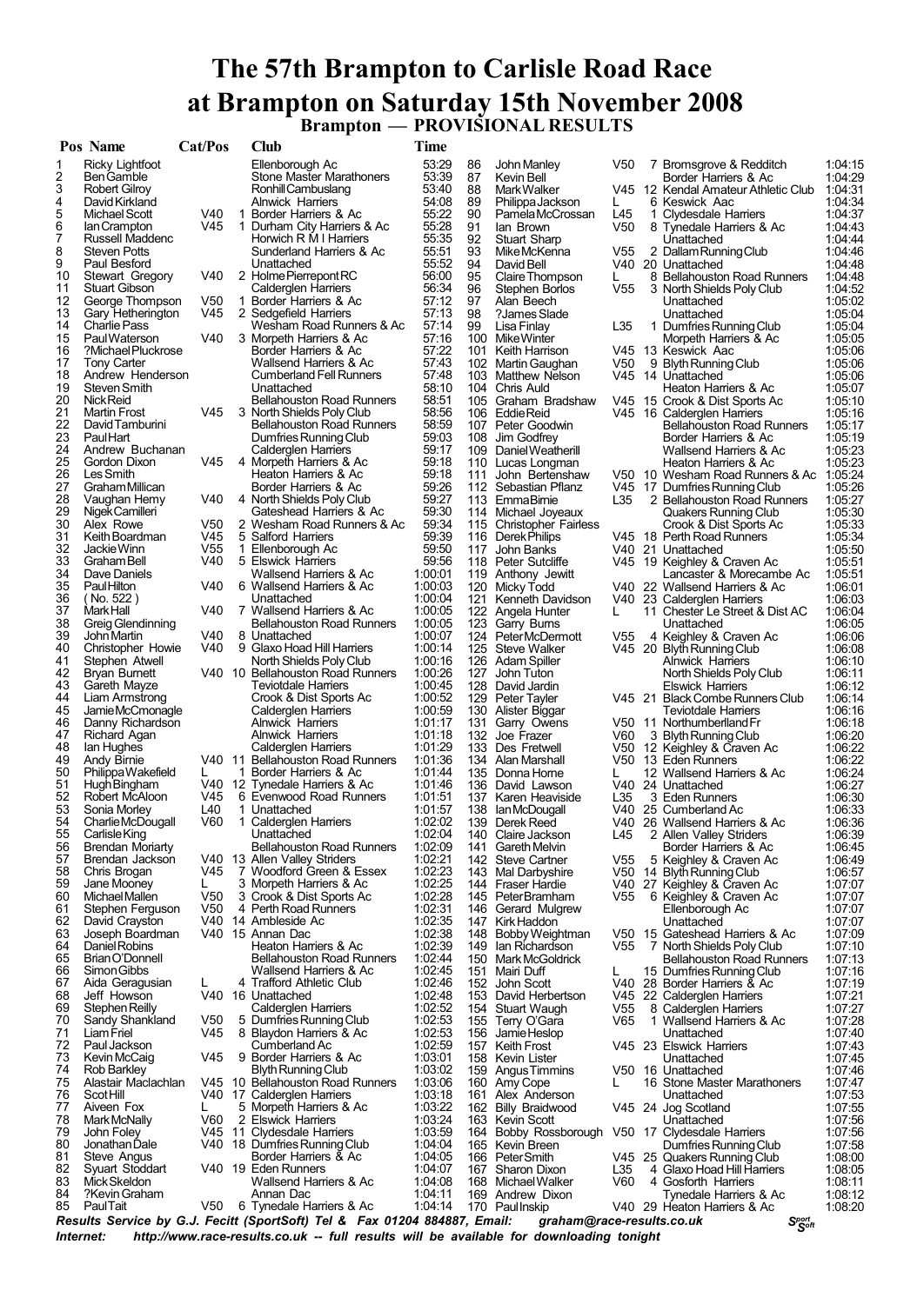# **The 57th Brampton to Carlisle Road Race at Brampton on Saturday 15th November 2008 Brampton — PROVISIONAL RESULTS**

|          | Pos Name                          | Cat/Pos                |    | <b>Club</b>                                              | <b>Time</b>        |          |                                           |                 |   |                                                            |                    |
|----------|-----------------------------------|------------------------|----|----------------------------------------------------------|--------------------|----------|-------------------------------------------|-----------------|---|------------------------------------------------------------|--------------------|
| 1        | Ricky Lightfoot                   |                        |    | Ellenborough Ac                                          | 53:29              | 86       | John Manley                               | V50             |   | 7 Bromsgrove & Redditch                                    | 1:04:15            |
| 2        | Ben Gamble                        |                        |    | <b>Stone Master Marathoners</b>                          | 53:39              | 87       | Kevin Bell                                |                 |   | Border Harriers & Ac                                       | 1:04:29            |
| 3        | <b>Robert Gilroy</b>              |                        |    | Ronhill Cambuslang                                       | 53:40              | 88       | Mark Walker                               |                 |   | V45 12 Kendal Amateur Athletic Club                        | 1:04:31            |
| 4        | David Kirkland                    |                        |    | <b>Alnwick Harriers</b>                                  | 54:08              | 89       | Philippa Jackson                          | L               |   | 6 Keswick Aac                                              | 1:04:34            |
| 5        | Michael Scott                     | V40                    | -1 | Border Harriers & Ac                                     | 55:22              | 90       | Pamela McCrossan                          | L45             | 1 | <b>Clydesdale Harriers</b>                                 | 1:04:37            |
| 6<br>7   | lan Crampton<br>Russell Maddenc   | V45                    |    | 1 Durham City Harriers & Ac                              | 55:28<br>55:35     | 91<br>92 | lan Brown                                 | V50             |   | 8 Tynedale Harriers & Ac                                   | 1:04:43            |
| 8        | Steven Potts                      |                        |    | Horwich R M I Harriers<br>Sunderland Harriers & Ac       | 55:51              | 93       | <b>Stuart Sharp</b><br>Mike McKenna       | V55             |   | Unattached<br>2 Dallam Running Club                        | 1:04:44<br>1:04:46 |
| 9        | Paul Besford                      |                        |    | Unattached                                               | 55:52              | 94       | David Bell                                |                 |   | V40 20 Unattached                                          | 1:04:48            |
| 10       | Stewart Gregory                   | V40                    |    | 2 Holme Pierrepont RC                                    | 56:00              | 95       | Claire Thompson                           | L               |   | 8 Bellahouston Road Runners                                | 1:04:48            |
| 11       | <b>Stuart Gibson</b>              |                        |    | Calderglen Harriers                                      | 56:34              | 96       | Stephen Borlos                            | V55             |   | 3 North Shields Poly Club                                  | 1:04:52            |
| 12       | George Thompson                   | V50                    |    | 1 Border Harriers & Ac                                   | 57:12              | 97       | Alan Beech                                |                 |   | Unattached                                                 | 1:05:02            |
| 13       | Gary Hetherington                 | V45                    |    | 2 Sedgefield Harriers                                    | 57:13              | 98       | ?James Slade                              |                 |   | Unattached                                                 | 1:05:04            |
| 14       | Charlie Pass                      |                        |    | Wesham Road Runners & Ac                                 | 57:14              | 99       | Lisa Finlay                               | L35             |   | 1 Dumfries Running Club                                    | 1:05:04            |
| 15       | Paul Waterson                     | V40                    |    | 3 Morpeth Harriers & Ac                                  | 57:16              |          | 100 Mike Winter                           |                 |   | Morpeth Harriers & Ac                                      | 1:05:05            |
| 16       | ?Michael Pluckrose                |                        |    | Border Harriers & Ac                                     | 57:22              | 101      | Keith Harrison                            |                 |   | V45 13 Keswick Aac                                         | 1:05:06            |
| 17       | <b>Tony Carter</b>                |                        |    | Wallsend Harriers & Ac                                   | 57:43              |          | 102 Martin Gaughan                        | V50             |   | 9 Blyth Running Club                                       | 1:05:06            |
| 18<br>19 | Andrew Henderson<br>Steven Smith  |                        |    | <b>Cumberland Fell Runners</b>                           | 57:48<br>58:10     | 103      | <b>Matthew Nelson</b>                     |                 |   | V45 14 Unattached                                          | 1:05:06            |
| 20       | Nick Reid                         |                        |    | Unattached<br><b>Bellahouston Road Runners</b>           | 58:51              | 104      | Chris Auld<br>105 Graham Bradshaw         |                 |   | Heaton Harriers & Ac<br>V45 15 Crook & Dist Sports Ac      | 1:05:07<br>1:05:10 |
| 21       | <b>Martin Frost</b>               | V45                    |    | 3 North Shields Poly Club                                | 58:56              |          | 106 Eddie Reid                            |                 |   | V45 16 Calderglen Harriers                                 | 1:05:16            |
| 22       | David Tamburini                   |                        |    | <b>Bellahouston Road Runners</b>                         | 58:59              |          | 107 Peter Goodwin                         |                 |   | <b>Bellahouston Road Runners</b>                           | 1:05:17            |
| 23       | <b>PaulHart</b>                   |                        |    | Dumfries Running Club                                    | 59:03              |          | 108 Jim Godfrey                           |                 |   | Border Harriers & Ac                                       | 1:05:19            |
| 24       | Andrew Buchanan                   |                        |    | <b>Calderglen Harriers</b>                               | 59:17              | 109      | Daniel Weatherill                         |                 |   | Wallsend Harriers & Ac                                     | 1:05:23            |
| 25       | Gordon Dixon                      | V45                    |    | 4 Morpeth Harriers & Ac                                  | 59:18              |          | 110 Lucas Longman                         |                 |   | Heaton Harriers & Ac                                       | 1:05:23            |
| 26       | Les Smith                         |                        |    | Heaton Harriers & Ac                                     | 59:18              | 111      | John Bertenshaw                           |                 |   | V50 10 Wesham Road Runners & Ac                            | 1:05:24            |
| 27       | Graham Millican                   |                        |    | Border Harriers & Ac                                     | 59:26              |          | 112 Sebastian Pflanz                      |                 |   | V45 17 Dumfries Running Club                               | 1:05:26            |
| 28       | Vaughan Hemy                      | V40                    |    | 4 North Shields Poly Club                                | 59:27              |          | 113 EmmaBimie                             | L35             |   | 2 Bellahouston Road Runners                                | 1:05:27            |
| 29       | Nigek Camilleri                   |                        |    | Gateshead Harriers & Ac                                  | 59:30              |          | 114 Michael Joyeaux                       |                 |   | Quakers Running Club                                       | 1:05:30            |
| 30<br>31 | Alex Rowe<br>Keith Boardman       | V <sub>50</sub><br>V45 |    | 2 Wesham Road Runners & Ac<br>5 Salford Harriers         | 59:34<br>59:39     |          | 115 Christopher Fairless                  |                 |   | Crook & Dist Sports Ac                                     | 1:05:33            |
| 32       | Jackie Winn                       | V <sub>55</sub>        |    | 1 Ellenborough Ac                                        | 59:50              | 117      | 116 Derek Philips<br>John Banks           |                 |   | V45 18 Perth Road Runners<br>V40 21 Unattached             | 1:05:34<br>1:05:50 |
| 33       | Graham Bell                       | V40                    |    | 5 Elswick Harriers                                       | 59:56              |          | 118 Peter Sutcliffe                       |                 |   | V45 19 Keighley & Craven Ac                                | 1:05:51            |
| 34       | Dave Daniels                      |                        |    | Wallsend Harriers & Ac                                   | 1:00:01            |          | 119 Anthony Jewitt                        |                 |   | Lancaster & Morecambe Ac                                   | 1:05:51            |
| 35       | Paul Hilton                       | V40                    |    | 6 Wallsend Harriers & Ac                                 | 1:00:03            |          | 120 Micky Todd                            |                 |   | V40 22 Wallsend Harriers & Ac                              | 1:06:01            |
| 36       | (No. 522)                         |                        |    | Unattached                                               | 1:00:04            | 121      | Kenneth Davidson                          |                 |   | V40 23 Calderglen Harriers                                 | 1:06:03            |
| 37       | Mark Hall                         | V40                    |    | 7 Wallsend Harriers & Ac                                 | 1:00:05            |          | 122 Angela Hunter                         | L               |   | 11 Chester Le Street & Dist AC                             | 1:06:04            |
| 38       | Greig Glendinning                 |                        |    | <b>Bellahouston Road Runners</b>                         | 1:00:05            | 123      | Garry Burns                               |                 |   | Unattached                                                 | 1:06:05            |
| 39       | John Martin                       | V40                    |    | 8 Unattached                                             | 1:00:07            | 124      | PeterMcDermott                            | V <sub>55</sub> |   | 4 Keighley & Craven Ac                                     | 1:06:06            |
| 40       | Christopher Howie                 | V40                    |    | 9 Glaxo Hoad Hill Harriers                               | 1:00:14            |          | 125 Steve Walker                          |                 |   | V45 20 Blyth Running Club                                  | 1:06:08            |
| 41       | Stephen Atwell                    |                        |    | North Shields Poly Club                                  | 1:00:16            |          | 126 Adam Spiller                          |                 |   | <b>Alnwick Harriers</b>                                    | 1:06:10            |
| 42       | Bryan Burnett                     |                        |    | V40 10 Bellahouston Road Runners                         | 1:00:26            | 127      | John Tuton                                |                 |   | North Shields Poly Club                                    | 1:06:11            |
| 43<br>44 | Gareth Mayze<br>Liam Armstrong    |                        |    | <b>Teviotdale Harriers</b><br>Crook & Dist Sports Ac     | 1:00:45<br>1:00:52 |          | 128 David Jardin<br>129 Peter Tayler      |                 |   | <b>Elswick Harriers</b><br>V45 21 Black Combe Runners Club | 1:06:12<br>1:06:14 |
| 45       | Jamie McCmonagle                  |                        |    | Calderglen Harriers                                      | 1:00:59            |          | 130 Alister Biggar                        |                 |   | Teviotdale Harriers                                        | 1:06:16            |
| 46       | Danny Richardson                  |                        |    | <b>Alnwick Harriers</b>                                  | 1:01:17            | 131      | Garry Owens                               |                 |   | V50 11 Northumberlland Fr                                  | 1:06:18            |
| 47       | Richard Agan                      |                        |    | <b>Alnwick Harriers</b>                                  | 1:01:18            |          | 132 Joe Frazer                            | V60             |   | 3 Blyth Running Club                                       | 1:06:20            |
| 48       | lan Hughes                        |                        |    | Calderglen Harriers                                      | 1:01:29            |          | 133 Des Fretwell                          |                 |   | V50 12 Keighley & Craven Ac                                | 1:06:22            |
| 49       | Andy Birnie                       |                        |    | V40 11 Bellahouston Road Runners                         | 1:01:36            | 134      | Alan Marshall                             | V50             |   | 13 Eden Runners                                            | 1:06:22            |
| 50       | Philippa Wakefield                | L.                     |    | 1 Border Harriers & Ac                                   | 1:01:44            |          | 135 Donna Horne                           |                 |   | 12 Wallsend Harriers & Ac                                  | 1:06:24            |
| 51       | <b>Hugh Bingham</b>               |                        |    | V40 12 Tynedale Harriers & Ac                            | 1:01:46            |          | 136 David Lawson                          |                 |   | V40 24 Unattached                                          | 1:06:27            |
| 52       | Robert McAloon                    | V <sub>45</sub>        |    | 6 Evenwood Road Runners                                  | 1:01:51            |          | 137 Karen Heaviside                       | L35             |   | 3 Eden Runners                                             | 1:06:30            |
| 53<br>54 | Sonia Morley<br>Charlie McDougall | L40<br>V60             |    | 1 Unattached                                             | 1:01:57<br>1:02:02 | 138      | lan McDougall                             |                 |   | V40 25 Cumberland Ac                                       | 1:06:33            |
| 55       | Carlisle King                     |                        |    | 1 Calderglen Harriers<br>Unattached                      | 1:02:04            |          | 139 Derek Reed<br>140 Claire Jackson      | L45             |   | V40 26 Wallsend Harriers & Ac<br>2 Allen Valley Striders   | 1:06:36<br>1:06:39 |
| 56       | <b>Brendan Moriarty</b>           |                        |    | <b>Bellahouston Road Runners</b>                         | 1:02:09            | 141      | <b>Gareth Melvin</b>                      |                 |   | Border Harriers & Ac                                       | 1:06:45            |
| 57       | Brendan Jackson                   |                        |    | V40 13 Allen Valley Striders                             | 1:02:21            |          | 142 Steve Cartner                         | V55             |   | 5 Keighley & Craven Ac                                     | 1:06:49            |
| 58       | Chris Brogan                      | V45                    |    | 7 Woodford Green & Essex                                 | 1:02:23            |          | 143 Mal Darbyshire                        | V50             |   | 14 Blyth Running Club                                      | 1:06:57            |
| 59       | Jane Mooney                       | L.                     |    | 3 Morpeth Harriers & Ac                                  | 1:02:25            |          | 144 Fraser Hardie                         |                 |   | V40 27 Keighley & Craven Ac                                | 1:07:07            |
| 60       | Michael Mallen                    | V50                    |    | 3 Crook & Dist Sports Ac                                 | 1:02:28            |          | 145 PeterBramham                          | V55             |   | 6 Keighley & Craven Ac                                     | 1:07:07            |
| 61       | Stephen Ferguson                  | V50                    |    | 4 Perth Road Runners                                     | 1:02:31            |          | 146 Gerard Mulgrew                        |                 |   | Ellenborough Ac                                            | 1:07:07            |
| 62       | David Crayston                    |                        |    | V40 14 Ambleside Ac                                      | 1:02:35            |          | 147 Kirk Haddon                           |                 |   | Unattached                                                 | 1:07:07            |
| 63       | Joseph Boardman                   |                        |    | V40 15 Annan Dac                                         | 1:02:38            |          | 148 Bobby Weightman                       |                 |   | V50 15 Gateshead Harriers & Ac                             | 1:07:09            |
| 64<br>65 | Daniel Robins<br>Brian O'Donnell  |                        |    | Heaton Harriers & Ac<br><b>Bellahouston Road Runners</b> | 1:02:39<br>1:02:44 |          | 149 Ian Richardson<br>150 Mark McGoldrick | V55             |   | 7 North Shields Poly Club                                  | 1:07:10<br>1:07:13 |
| 66       | Simon Gibbs                       |                        |    | Wallsend Harriers & Ac                                   | 1:02:45            | 151      | Mairi Duff                                | L               |   | Bellahouston Road Runners<br>15 Dumfries Running Club      | 1:07:16            |
| 67       | Aida Geragusian                   | L.                     |    | 4 Trafford Athletic Club                                 | 1:02:46            |          | 152 John Scott                            |                 |   | V40 28 Border Harriers & Ac                                | 1:07:19            |
| 68       | Jeff Howson                       |                        |    | V40 16 Unattached                                        | 1:02:48            | 153      | David Herbertson                          |                 |   | V45 22 Calderglen Harriers                                 | 1:07:21            |
| 69       | <b>Stephen Reilly</b>             |                        |    | Calderglen Harriers                                      | 1:02:52            |          | 154 Stuart Waugh                          | V55             |   | 8 Calderglen Harriers                                      | 1:07:27            |
| 70       | Sandy Shankland                   | V50                    |    | 5 Dumfries Running Club                                  | 1:02:53            |          | 155 Terry O'Gara                          | V65             |   | 1 Wallsend Harriers & Ac                                   | 1:07:28            |
| 71       | Liam Friel                        | V45                    |    | 8 Blaydon Harriers & Ac                                  | 1:02:53            | 156      | Jamie Heslop                              |                 |   | Unattached                                                 | 1:07:40            |
| 72       | Paul Jackson                      |                        |    | Cumberland Ac                                            | 1:02:59            |          | 157 Keith Frost                           |                 |   | V45 23 Elswick Harriers                                    | 1:07:43            |
| 73       | Kevin McCaig                      | V <sub>45</sub>        |    | 9 Border Harriers & Ac                                   | 1:03:01            |          | 158 Kevin Lister                          |                 |   | Unattached                                                 | 1:07:45            |
| 74       | Rob Barkley                       |                        |    | Blyth Running Club                                       | 1:03:02            |          | 159 Angus Timmins                         |                 |   | V50 16 Unattached                                          | 1:07:46            |
| 75       | Alastair Maclachlan               |                        |    | V45 10 Bellahouston Road Runners                         | 1:03:06            |          | 160 Amy Cope                              | L               |   | 16 Stone Master Marathoners                                | 1:07:47            |
| 76<br>77 | ScotHill<br>Aiveen Fox            |                        |    | V40 17 Calderglen Harriers                               | 1:03:18            |          | 161 Alex Anderson                         |                 |   | Unattached                                                 | 1:07:53            |
| 78       | Mark McNally                      | L.<br>V60              |    | 5 Morpeth Harriers & Ac<br>2 Elswick Harriers            | 1:03:22<br>1:03:24 |          | 162 Billy Braidwood<br>163 Kevin Scott    |                 |   | V45 24 Jog Scotland<br>Unattached                          | 1:07:55<br>1:07:56 |
| 79       | John Foley                        |                        |    | V45 11 Clydesdale Harriers                               | 1:03:59            |          | 164 Bobby Rossborough                     |                 |   | V50 17 Clydesdale Harriers                                 | 1:07:56            |
| 80       | Jonathan Dale                     |                        |    | V40 18 Dumfries Running Club                             | 1:04:04            |          | 165 Kevin Breen                           |                 |   | Dumfries Running Club                                      | 1:07:58            |
| 81       | Steve Angus                       |                        |    | Border Harriers & Ac                                     | 1:04:05            |          | 166 PeterSmith                            |                 |   | V45 25 Quakers Running Club                                | 1:08:00            |
| 82       | Syuart Stoddart                   |                        |    | V40 19 Eden Runners                                      | 1:04:07            |          | 167 Sharon Dixon                          | L35             |   | 4 Glaxo Hoad Hill Harriers                                 | 1:08:05            |
| 83       | Mick Skeldon                      |                        |    | Wallsend Harriers & Ac                                   | 1:04:08            |          | 168 Michael Walker                        | V60             |   | 4 Gosforth Harriers                                        | 1:08:11            |
| 84       | ?Kevin Graham                     |                        |    | Annan Dac                                                | 1:04:11            |          | 169 Andrew Dixon                          |                 |   | Tynedale Harriers & Ac                                     | 1:08:12            |
| 85       | <b>PaulTait</b>                   | V50 -                  |    | 6 Tynedale Harriers & Ac                                 | 1:04:14            |          | 170 Paul Inskip                           |                 |   | V40 29 Heaton Harriers & Ac                                | 1:08:20            |

*<sup>S</sup>port Results Service by G.J. Fecitt <sup>S</sup>oft (SportSoft) Tel & Fax <sup>01204</sup> 884887, Email: graham@race-results.co.uk Internet: http://www.race-results.co.uk -- full results will be available for downloading tonight*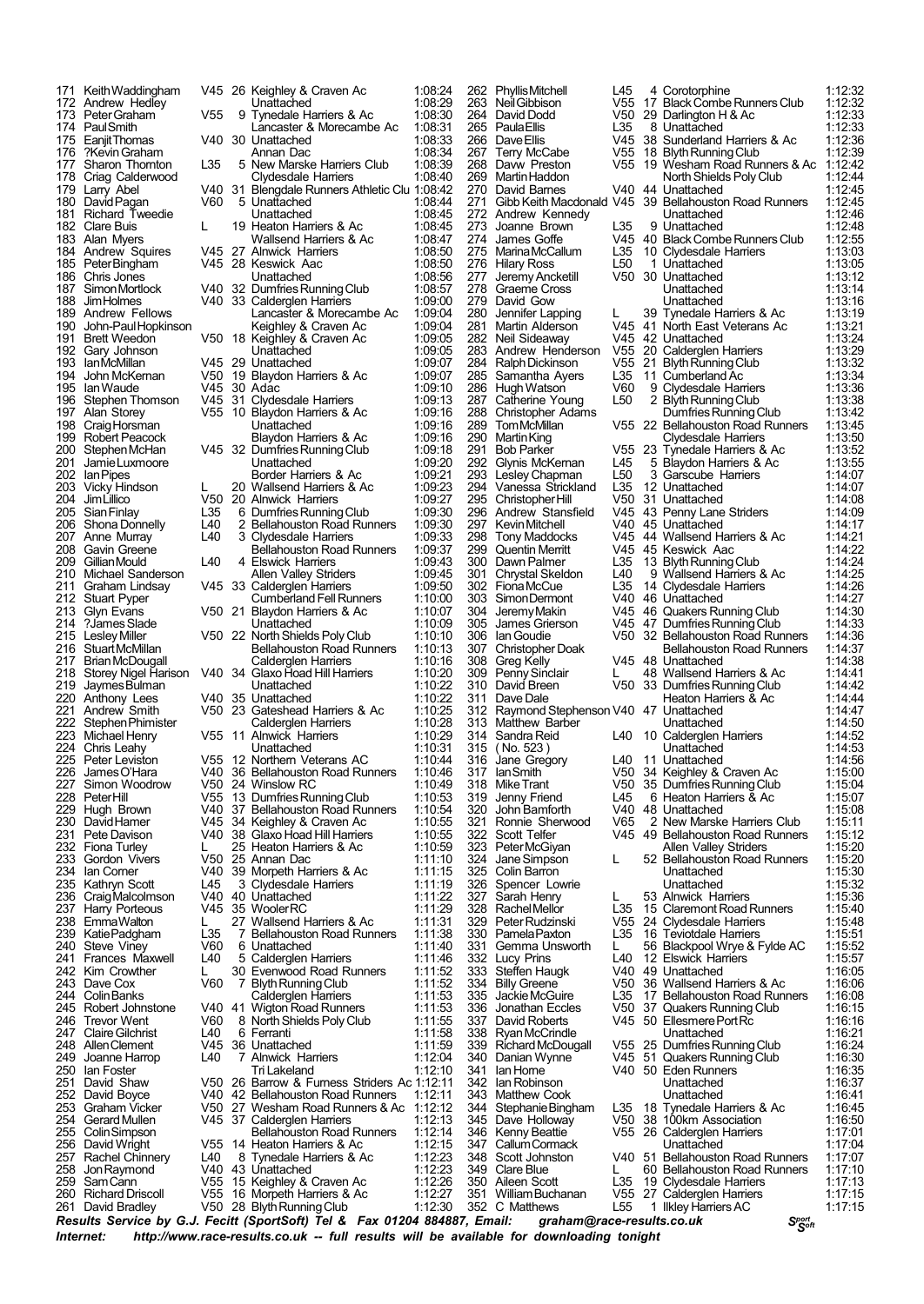207 Anne Murray L40 3 Clydesdale Harriers<br>208 Gavin Greene Bellahouston Road F 222 Stephen Phimister Calderglen Harriers 223 Michael Henry V55 11 Alnwick Harriers

 KeithWaddingham V45 26 Keighley & Craven Ac 1:08:24 172 Andrew Hedley **1:08:29**<br>173 PeterGraham 1755 9 Tynedale Harriers & Ac 1:08:30 Peter Graham V55 9 Tynedale Harriers & Ac 1731 Peter Graham V55 9 Tynedale Harriers & Ac 174 PaulSmith Lancaster & Morecambe Ac 1:08:31<br>175 EaniitThomas V40 30 Unattached 1:08:33 175 EanjitThomas V40 30 Unattached 1:08:33<br>176 ?Kevin Graham Annan Dac 1:08:34 ?KevinGraham Annan Dac 1:08:34 Sharon Thornton L35 5 New Marske Harriers Club 1:08:39 178 Criag Calderwood Clydesdale Harriers 1:08:40<br>179 Larry Abel 179 Carry Abel 1:08:42 Blengdale Runners Athletic Clu 1:08:42<br>1108:44 1108:44 180 David Pagan  $V60$  5 Unattached 1:08:44 181 Richard Tweedie Unattached 1:08:45 182 Clare Buis Late 19 Heaton Harriers & Ac 1:08:45<br>183 Alan Myers Wallsend Harriers & Ac 1:08:47 Alan Myers Wallsend Harriers & Ac 1:08:47 184 Andrew Squires 1945 27 Alnwick Harriers 1:08:50<br>185 PeterBingham 1945 28 Keswick Aac 1:08:50 PeterBingham V45 28 Keswick Aac 1:08:50 Chris Jones Unattached 1:08:56 187 Simon Mortlock V40 32 Dumfries Running Club 1:08:57<br>188 Jim Holmes V40 33 Calderglen Harriers 1:09:00 188 JimHolmes V40 33 Calderglen Harriers 1:09:00<br>188 JimHolmes V40 33 Calderglen Harriers 1:09:00<br>189 Andrew Fellows Lancaster & Morecambe Ac 189 Andrew Fellows Lancaster & Morecambe Ac 1:09:04<br>190 John-Paul Hopkinson Keighley & Craven Ac 1:09:04 190 John-Paul Hopkinson Keighley & Craven Ac 1:09:04<br>191 Brett Weedon V50 18 Keighley & Craven Ac 1:09:05 Keighley & Craven Ac 1:09:05<br>Unattached 1:09:05 Gary Johnson Unattached 1:09:05 IanMcMillan V45 29 Unattached 1:09:07 194 John McKernan V50 19 Blaydon Harriers & Ac 1:09:07<br>195 Ian Waude V45 30 Adac 1:09:10<br>196 Stephen Thomson V45 31 Clydesdale Harriers 1:09:13 IanWaude V45 30 Adac 1:09:10 Stephen Thomson V45 31 Clydesdale Harriers 1:09:13 Alan Storey V55 10 Blaydon Harriers & Ac 1:09:16 CraigHorsman Unattached 1:09:16 Robert Peacock Blaydon Harriers & Ac 1:09:16 StephenMcHan V45 32 DumfriesRunningClub 1:09:18 JamieLuxmoore Unattached 1:09:20 IanPipes Border Harriers & Ac 1:09:21 Vicky Hindson L 20 Wallsend Harriers & Ac 1:09:23 JimLillico V50 20 Alnwick Harriers 1:09:27 SianFinlay L35 6 DumfriesRunningClub 1:09:30 206 Shona Donnelly L40 2 Bellahouston Road Runners 1:09:30<br>207 Anne Murray L40 3 Clydesdale Harriers 1:09:33<br>208 Gavin Greene Bellahouston Road Runners 1:09:37 208 Gavin Greene Bellahouston Road Runners<br>209 Gillian Mould L40 4 Elswick Harriers 1:09:37<br>209 Gillian Mould L40 4 Elswick Harriers 1:09:43 209 Gillian Mould L40 4 Elswick Harriers 1:09:43<br>210 Michael Sanderson Allen Valley Striders 1:09:45 Michael Sanderson Allen Valley Striders 1:09:45 Graham Lindsay V45 33 Calderglen Harriers 1:09:50 212 Stuart Pyper Cumberland Fell Runners 1:10:00<br>213 Glyn Evans V50 21 Blaydon Harriers & Ac 1:10:07 Glyn Evans V50 21 Blaydon Harriers & Ac 1:10:07 ?JamesSlade Unattached 1:10:09 215 LesleyMiller V50 22 NorthShields PolyClub 1:10:10 216 StuartMcMillan Bellahouston Road Runners 1:10:13<br>217 Brian McDougall Calderglen Harriers 1:10:16<br>218 Storey Nigel Harison V40 34 Glaxo Hoad Hill Harriers 1:10:20 BrianMcDougall Calderglen Harriers 1:10:16 218 Storey Nigel Harison V40 34 Glaxo Hoad Hill Harriers 1:10:20 JaymesBulman Unattached 1:10:22 220 Anthony Lees V40 35 Unattached 1:10:22<br>221 Andrew Smith V50 23 Gateshead Harriers & Ac 1:10:25 221 Andrew Smith V50 23 Gateshead Harriers & Ac 1:10:25<br>222 Stephen Phimister Caldergien Harriers 1:10:28 Michael Henry V55 11 Alnwick Harriers 1:10:29 224 Chris Leahy Unattached 1:10:31<br>225 Peter Leviston V55 12 Northern Veterans AC 1:10:44 Peter Leviston V55 12 Northern Veterans AC 1:10:44<br>James O'Hara V40 36 Bellahouston Road Runners 1:10:46<br>Simon Woodrow V50 24 Winslow RC 1:10:49 JamesO'Hara V40 36 Bellahouston Road Runners 1:10:46 Simon Woodrow V50 24 Winslow RC 1:10:49 PeterHill V55 13 DumfriesRunningClub 1:10:53 229 Hugh Brown V40 37 Bellahouston Road Runners 1:10:54<br>230 David Hamer V45 34 Keighley & Craven Ac 1:10:55 230 David Hamer V45 34 Keighley & Craven Ac 1:10:55<br>231 Pete Davison V40 38 Glaxo Hoad Hill Harriers 1:10:55 Pete Davison V40 38 Glaxo Hoad Hill Harriers 1:10:55 Fiona Turley L 25 Heaton Harriers & Ac 1:10:59 Gordon Vivers V50 25 Annan Dac 1:11:10 39 Morpeth Harriers & Ac Kathryn Scott L45 3 Clydesdale Harriers 1:11:19 235 Kathryn Scott L45 3 Clydesdale Harriers 1:11:19<br>236 CraigMalcolmson V40 40 Unattached 1:11:22<br>237 Harry Porteous V45 35 WoolerRC 1:11:29 237 Harry Porteous V45 35 WoolerRC 1:11:29<br>238 Emma Walton L 27 Wallsend Harriers & Ac 1:11:31 EmmaWalton L 27 Wallsend Harriers & Ac 1:11:31 KatiePadgham L35 7 Bellahouston Road Runners 1:11:38 Steve Viney V60 6 Unattached 1:11:40 Frances Maxwell L40 5 Calderglen Harriers 1:11:46 242 Kim Crowther L 30 Evenwood Road Runners 1:11:52 243 Dave Cox  $V60$  7 Blyth Running Club 1:11:52 ColinBanks Calderglen Harriers 1:11:53 Robert Johnstone V40 41 Wigton Road Runners 1:11:53 Trevor Went V60 8 NorthShields PolyClub 1:11:55 247 Claire Gilchrist L40 6 Ferranti 1:11:58<br>248 Allen Clement V45 36 Unattached 1:11:59 248 Allen Clement V45 36 Unattached 1:11:59<br>249 Joanne Harrop L40 7 Alnwick Harriers 1:12:04 Joanne Harrop L40 7 Alnwick Harriers 1:12:04 Ian Foster Tri Lakeland 1:12:10 251 David Shaw V50 26 Barrow & Furness Striders Ac 1:12:11 252 David Boyce V40 42 Bellahouston Road Runners 1:12:11<br>253 Graham Vicker V50 27 Wesham Road Runners & Ac 1:12:12 Graham Vicker V50 27 Wesham Road Runners & Ac 1:12:12 GerardMullen V45 37 Calderglen Harriers 1:12:13 255 Colin Simpson<br>255 Colin Simpson Bellahouston Road Runners 1:12:14<br>256 David Wright V55 14 Heaton Harriers & Ac 1:12:15 David Wright V55 14 Heaton Harriers & Ac 1:12:15 257 Rachel Chinnery L40 8 Tynedale Harriers & Ac 1:12:23<br>258 Jon Raymond V40 43 Unattached 1:12:23 JonRaymond V40 43 Unattached 1:12:23 SamCann V55 15 Keighley & Craven Ac 1:12:26 Richard Driscoll V55 16 Morpeth Harriers & Ac 1:12:27 28 Blyth Running Club

270 David Barnes V40 44 Unattached<br>271 Gibb Keith Macdonald V45 39 Bellahouston<br>272 Andrew Kennedy Unattached 313 Matthew Barber<br>314 Sandra Reid 140 10 Colin Barron

 PhyllisMitchell L45 4 Corotorphine 1:12:32 NeilGibbison V55 17 BlackCombeRunnersClub 1:12:32 264 David Dodd V50 29 Darlington H & Ac 1:12:33<br>265 Paula Filis 135 8 Unattached 1:12:33 PaulaEllis L35 8 Unattached 1:12:33 DaveEllis V45 38 Sunderland Harriers & Ac 1:12:36 Terry McCabe V55 18 BlythRunningClub 1:12:39 Davw Preston V55 19 Wesham Road Runners & Ac 1:12:42 MartinHaddon NorthShields PolyClub 1:12:44 V45 39 Bellahouston Road Runners 1:12:45<br>Unattached 1:12:46 Andrew Kennedy Unattached 1:12:46 273 Joanne Brown L35 9 Unattached 1:12:48<br>274 James Goffe V45 40 Black Combe Runners Club 1:12:55 James Goffe V45 40 BlackCombeRunnersClub 1:12:55 MarinaMcCallum L35 10 Clydesdale Harriers 1:13:03 276 Hilary Ross Luis L50 1 Unattached 1:13:05<br>277 Jeremy Ancketill V50 30 Unattached 1:13:12<br>278 Graeme Cross Unattached 1:13:14 27:31 Jeremy Ancketill V50 30 Unattached 1:13:12<br>27:314 Graeme Cross Unattached Graeme Cross Unattached 1:13:14 David Gow Unattached 1:13:16 Jennifer Lapping L 39 Tynedale Harriers & Ac 1:13:19 281 Martin Alderson V45 41 North East Veterans Ac 1:13:21<br>282 Neil Sideaway V45 42 Unattached 1:13:24 Neil Sideaway V45 42 Unattached 1:13:24 Andrew Henderson V55 20 Calderglen Harriers 1:13:29 RalphDickinson V55 21 BlythRunningClub 1:13:32 285 Samantha Ayers 1.35 11 Cumberland Ac 1:13:34<br>286 Hugh Watson 1.13:34<br>286 Hugh Watson 1.50 2 Rivth Running Club 1:13:38<br>287 Catherine Young 1.50 2 Rivth Running Club 1:13:38 HughWatson V60 9 Clydesdale Harriers 1:13:36 Catherine Young L50 2 BlythRunningClub 1:13:38 288 Christopher Adams **Dumfries Running Club**<br>289 Tom McMillan **1:13:42**<br>289 Tom McMillan **1:55** 22 Bellahouston Road Runners 1:13:45 TomMcMillan V55 22 Bellahouston Road Runners 1:13:45 MartinKing Clydesdale Harriers 1:13:50 Bob Parker V55 23 Tynedale Harriers & Ac 1:13:52 Glynis McKernan L45 5 Blaydon Harriers & Ac 1:13:55 292 Glynis McKeman L45 5 Blaydon Harriers & Ac 1:13:55<br>293 Lesley Chapman L50 3 Garscube Harriers 1:14:07<br>294 Vanessa Strickland L35 12 Unattached 1:14:07 Vanessa Strickland L35 12 Unattached 1:14:07 ChristopherHill V50 31 Unattached 1:14:08 Andrew Stansfield V45 43 Penny Lane Striders 1:14:09 297 Kevin Mitchell V40 45 Unattached 1:14:17<br>298 Tony Maddocks V45 44 Wallsend Harriers & Ac 1:14:21<br>299 Quentin Merrit V45 45 Keswick Aac 1:14:22 Tony Maddocks V45 44 Wallsend Harriers & Ac 1:14:21 Quentin Merritt V45 45 Keswick Aac 1:14:22 300 Dawn Palmer 135 13 Blyth Running Club 1:14:24<br>301 Chrystal Skeldon 140 9 Wallsend Harriers & Ac 1:14:25 Chrystal Skeldon L40 9 Wallsend Harriers & Ac 1:14:25 FionaMcCue L35 14 Clydesdale Harriers 1:14:26 SimonDermont V40 46 Unattached 1:14:27 304 Jeremy Makin V45 46 Quakers Running Club 1:14:30<br>305 James Grierson V45 47 Dumfries Running Club 1:14:33<br>306 Jan Goudie V50 32 Bellahouston Road Runners 1:14:36 James Grierson V45 47 DumfriesRunningClub 1:14:33 306 IanGoudie V50 32 Bellahouston Road Runners 1:14:36 307 Christopher Doak Bellahouston Road Runners 1:14:37<br>308 Greg Kelly V45 48 Unattached 1:14:38 Greg Kelly V45 48 Unattached 1:14:38 PennySinclair L 48 Wallsend Harriers & Ac 1:14:41 David Breen V50 33 DumfriesRunningClub 1:14:42 Dave Dale Heaton Harriers & Ac 1:14:44 312 Raymond Stephenson V40 47 Unattached 1:14:47<br>313 Matthew Barber (1:14:47 Unattached 1:14:50 Sandra Reid L40 10 Calderglen Harriers 1:14:52 315 ( No. 523 ) Unattached 1:14:53 316 Jane Gregory L40 11 Unattached 1:14:56<br>317 IanSmith V50 34 Keighley & Craven Ac 1:15:00 IanSmith V50 34 Keighley & Craven Ac 1:15:00 318 MikeTrant V50 35 DumfriesRunningClub 1:15:04 Jenny Friend L45 6 Heaton Harriers & Ac 1:15:07 JohnBamforth V40 48 Unattached 1:15:08 Ronnie Sherwood V65 2 New Marske Harriers Club 1:15:11 Scott Telfer V45 49 Bellahouston Road Runners 1:15:12 PeterMcGiyan Allen Valley Striders 1:15:20 JaneSimpson L 52 Bellahouston Road Runners 1:15:20 Spencer Lowrie Unattached 1:15:32 327 Sarah Henry L 53 Alnwick Harriers 1:15:36<br>328 Rachel Mellor L35 15 Claremont Road Runners 1:15:40 RachelMellor L35 15 Claremont Road Runners 1:15:40 PeterRudzinski V55 24 Clydesdale Harriers 1:15:48 330 Pamela Paxton L35 16 Teviotdale Harriers 1:15:51<br>331 Gemma Unsworth L 56 Blackpool Wrye & Fylde AC 1:15:52 331 Gemma Unsworth L 56 Blackpool Wrye & Fylde AC 1:15:52<br>332 Lucy Prins L40 12 Elswick Harriers 1:15:57<br>333 Steffen Haugk V40 49 Unattached 1:16:05 Lucy Prins L40 12 Elswick Harriers 1:15:57 333 Steffen Haugk V40 49 Unattached 1:16:05 334 Billy Greene V50 36 Wallsend Harriers & Ac 1:16:06<br>335 Jackie McGuire L35 17 Bellahouston Road Runners 1:16:08 JackieMcGuire L35 17 Bellahouston Road Runners 1:16:08 Jonathan Eccles V50 37 Quakers Running Club 1:16:15 David Roberts V45 50 EllesmerePortRc 1:16:16 338 Ryan McCrindle 1116 Unattached 1:16:21<br>339 Richard McDougall 1:16:21 Unattached 1:16:24 339 Richard McDougall V55 25 Dumfries Running Club 1:16:24<br>340 Danian Wynne V45 51 Quakers Running Club 1:16:30 Danian Wynne V45 51 Quakers Running Club 1:16:30 IanHorne V40 50 Eden Runners 1:16:35 342 Ian Robinson 1:16 Stephen Unattached 1:16:37<br>343 Matthew Cook Unattached 1:16:41 1:16:41 Matthew Cook **Diattached** 1:16:41<br>344 Stephanie Bingham L35 18 Tynedale Harriers & Ac 1:16:45 StephanieBingham L35 18 Tynedale Harriers & Ac 1:16:45 Dave Holloway V50 38 100km Association 1:16:50 Kenny Beattie V55 26 Calderglen Harriers 1:17:01 CallumCormack Unattached 1:17:04 Scott Johnston V40 51 Bellahouston Road Runners 1:17:07 349 Clare Blue L 60 Bellahouston Road Runners 1:17:10<br>350 Aileen Scott L35 19 Clydesdale Harriers 1:17:13 Aileen Scott L35 19 Clydesdale Harriers 1:17:13 WilliamBuchanan V55 27 Calderglen Harriers 1:17:15 1 Ilkley Harriers AC

*<sup>S</sup>port Results Service by G.J. Fecitt <sup>S</sup>oft (SportSoft) Tel & Fax <sup>01204</sup> 884887, Email: graham@race-results.co.uk Internet: http://www.race-results.co.uk -- full results will be available for downloading tonight*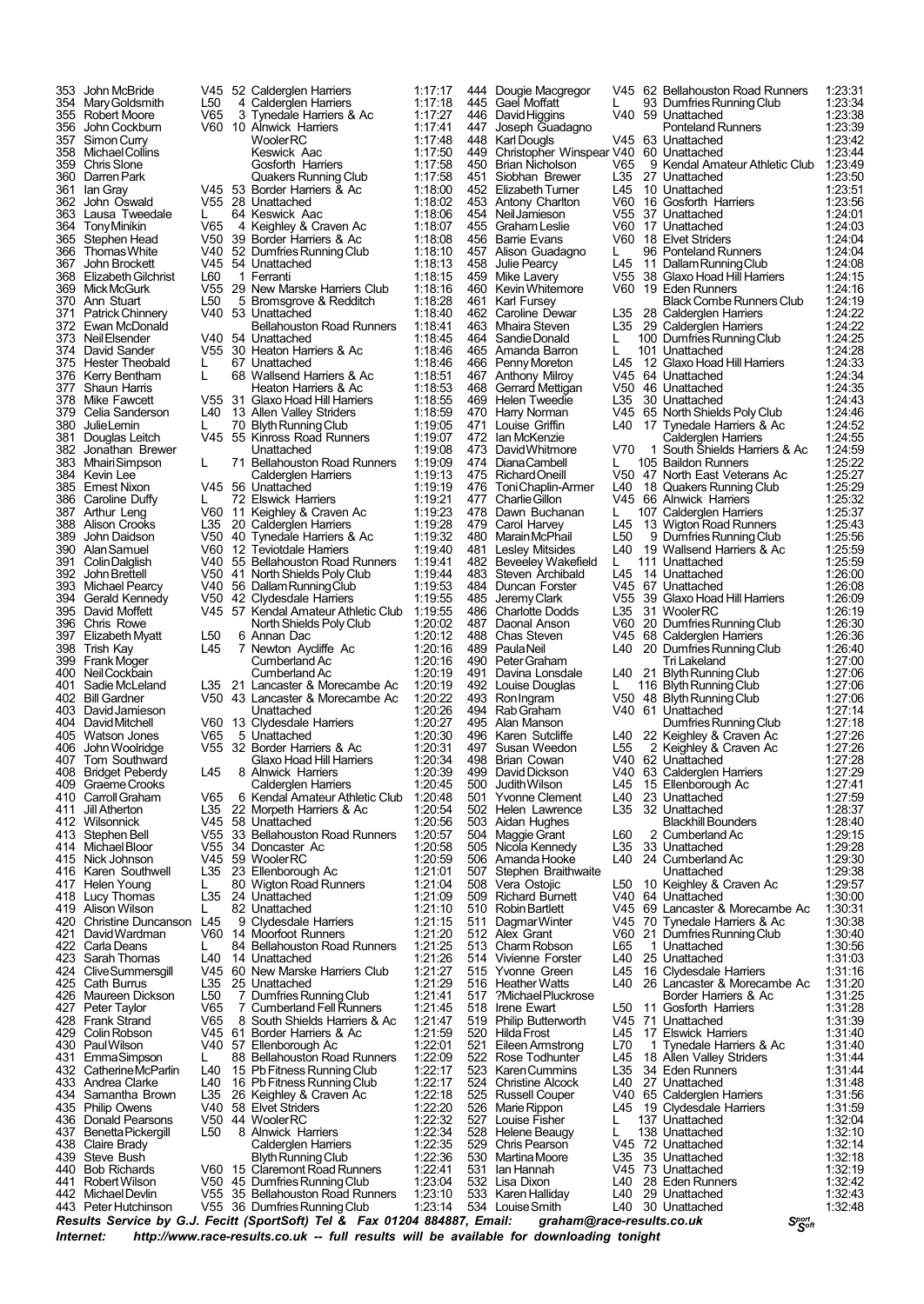441 Robert Wilson V50 45 Dumfries Running Club 1:23:04<br>442 Michael Devlin V55 35 Bellahouston Road Runners 1:23:10 442 MichaelDevlin V55 35 Bellahouston Road Runners 1:23:10 V55 36 Dumfries Running Club

353 John McBride V45 52 Calderglen Harriers 1:17:17<br>354 Mary Goldsmith L50 4 Calderglen Harriers 1:17:18 354 MaryGoldsmith L50 4 Calderglen Harriers 1:17:18 355 Robert Moore V65 3 Tynedale Harriers & Ac<br>356 John Cockburn V60 10 Alnwick Harriers 356 John Cockburn V60 10 Alnwick Harriers 1:17:41 357 SimonCurry WoolerRC 1:17:48 358 MichaelCollins Keswick Aac 1:17:50 359 Chris Slone Gosforth Harriers 1:17:58<br>360 Darren Park Guakers Running Club 1:17:58 360 DarrenPark Quakers Running Club 1:17:58 361 Ian Gray V45 53 Border Harriers & Ac 1:18:00 362 John Oswald V55 28 Unattached 1:18:02 363 Lausa Tweedale L 64 Keswick Aac 1:18:06 364 TonyMinikin V65 4 Keighley & Craven Ac 1:18:07 365 Stephen Head V50 39 Border Harriers & Ac 1:18:08 366 ThomasWhite V40 52 DumfriesRunningClub 1:18:10 367 John Brockett V45 54 Unattached 1:18:13 368 ElizabethGilchrist L60 1 Ferranti 1:18:15 369 MickMcGurk V55 29 New Marske Harriers Club 1:18:16 370 Ann Stuart L50 5 Bromsgrove & Redditch 1:18:28<br>371 Patrick Chinnery V40 53 Unattached 1:18:40 371 Patrick Chinnery 740 53 Unattached 1:18:40<br>372 Ewan McDonald Bellahouston Road Runners 1:18:41 372 Ewan McDonald 119 Bellahouston Road Runners 1:18:41<br>373 Neil Elsender 118:44 U40 54 Unattached 1:18:45 373 NeilElsender V40 54 Unattached 1:18:45 374 David Sander V55 30 Heaton Harriers & Ac 1:18:46 375 Hester Theobald L 67 Unattached 1:18:46<br>376 Kerry Bentham L 68 Wallsend Harriers & Ac 1:18:51 376 Kerry Bentham L 68 Wallsend Harriers & Ac 1:18:51<br>377 Shaun Harris Heaton Harriers & Ac 1:18:51 377 Shaun Harris Heaton Harriers & Ac 1:18:53 378 Mike Fawcett V55 31 Glaxo Hoad Hill Harriers 1:18:55<br>379 Celia Sanderson 1.40 13 Allen Valley Striders 1:18:59 379 Celia Sanderson L40 13 Allen Valley Striders 1:18:59<br>380 JulieLemin L 70 Blyth Running Club 1:19:05 380 JulieLemin L 70 BlythRunningClub 1:19:05 381 Douglas Leitch V45 55 Kinross Road Runners 1:19:07 382 Jonathan Brewer Unattached 1:19:08 383 MhairiSimpson L 71 Bellahouston Road Runners 1:19:09 384 Kevin Lee Calderglen Harriers 1:19:13<br>385 Ernest Nixon V45 56 Unattached 1:19:13 385 Ernest Nixon V45 56 Unattached 1:19:19 386 Caroline Duffy L 72 Elswick Harriers 1:19:21 387 Arthur Leng V60 11 Keighley & Craven Ac 1:19:23 388 Alison Crooks L35 20 Calderglen Harriers 1:19:28<br>389 John Daidson V50 40 Tynedale Harriers & Ac 1:19:32<br>390 Alan Samuel V60 12 Teviotdale Harriers 1:19:40 389 John Daidson V50 40 Tynedale Harriers & Ac 1:19:32 390 AlanSamuel V60 12 Teviotdale Harriers 1:19:40 391 ColinDalglish V40 55 Bellahouston Road Runners 1:19:41 392 John Brettell V50 41 North Shields Poly Club 1:19:44<br>393 Michael Pearcy V40 56 Dallam Running Club 1:19:53 393 Michael Pearcy V40 56 DallamRunningClub 1:19:53 394 Gerald Kennedy V50 42 Clydesdale Harriers 1:19:55 395 David Moffett V45 57 Kendal Amateur Athletic Club 1:19:55<br>396 Chris Rowe North Shields Poly Club 1:20:02<br>397 Elizabeth Myatt L50 6 Annan Dac 1:20:12 396 Chris Rowe **North Shields Poly Club 1:20:03**<br>397 Elizabeth Myatt 1:50 6 Annan Dac 397 Elizabeth Myatt L50 6 Annan Dac 1:20:12 398 Trish Kay L45 7 Newton Aycliffe Ac 1:20:16 399 Frank Moger Cumberland Ac 1:20:16<br>400 Neil Cockbain Cumberland Ac 1:20:16 400 NeilCockbain Cumberland Ac 1:20:19<br>401 Sadie McLeland L35 21 Lancaster & Morecambe Ac 1:20:19 401 SadieMcLeland L35 21 Lancaster & Morecambe Ac 1:20:19 402 Bill Gardner V50 43 Lancaster & Morecambe Ac 1:20:22 403 DavidJamieson Unattached 1:20:26 404 David Mitchell V60 13 Clydesdale Harriers 1:20:27<br>405 Watson Jones V65 5 Unattached 1:20:30<br>406 John Woolridge V55 32 Border Harriers & Ac 1:20:31 405 Watson Jones V65 5 Unattached 1:20:30 406 JohnWoolridge V55 32 Border Harriers & Ac 1:20:31 407 Tom Southward Glaxo Hoad Hill Harriers 1:20:34<br>408 Bridget Peberdy L45 8 Alnwick Harriers 1:20:39 408 Bridget Peberdy L45 8 Alnwick Harriers 1:20:39<br>409 Graeme Crooks Calderglen Harriers 1:20:45 409 Graeme Crooks<br>410 Carroll Graham (1965 6 Kendal Amateur Athletic Club 1:20:48 410 CarrollGraham V65 6 Kendal Amateur Athletic Club 1:20:48 411 Jill Atherton L35 22 Morpeth Harriers & Ac 1:20:54<br>412 Wilsonnick V45 58 Unattached 1:20:56 412 Wilsonnick COVID-58 Unattached 1:20:56<br>413 Stephen Bell V55 33 Bellahouston Road Runners 1:20:57 413 StephenBell V55 33 Bellahouston Road Runners 1:20:57 414 MichaelBloor V55 34 Doncaster Ac 1:20:58 415 Nick Johnson V45 59 WoolerRC 1:20:59 Karen Southwell L35 23 Ellenborough Ac<br>Helen Young L 80 Wigton Road Rur 417 Helen Young L 80 Wigton Road Runners 1:21:04 418 Lucy Thomas Late 24 Unattached 1:21:09<br>419 Alison Wilson L 82 Unattached 1:21:10 419 Alison Wilson L 82 Unattached 1:21:10<br>420 Christine Duncanson L45 9 Clydesdale Harriers 1:21:15 420 Christine Duncanson L45 9 Clydesdale Harriers 1:21:15<br>421 David Wardman 1960 14 Moorfoot Runners 1:21:20 421 DavidWardman V60 14 Moorfoot Runners 1:21:20 422 Carla Deans L 84 Bellahouston Road Runners 1:21:25<br>423 Sarah Thomas L40 14 Unattached 1:21:26<br>424 Clive Summersgill V45 60 New Marske Harriers Club 1:21:27 423 Sarah Thomas L40 14 Unattached 1:21:26 424 CliveSummersgill V45 60 New Marske Harriers Club 1:21:27 425 Cath Burrus L35 25 Unattached 1:21:29 426 Maureen Dickson L50 7 DumfriesRunningClub 1:21:41 427 Peter Taylor V65 7 CumberlandFellRunners 1:21:45 428 Frank Strand V65 8 South Shields Harriers & Ac 1:21:47<br>429 Colin Robson V45 61 Border Harriers & Ac 1:21:59<br>430 Paul Wilson V40 57 Ellenborough Ac 1:22:01 429 ColinRobson V45 61 Border Harriers & Ac 1:21:59 430 PaulWilson V40 57 Ellenborough Ac 1:22:01 431 EmmaSimpson L 88 Bellahouston Road Runners 1:22:09<br>432 Catherine McParlin L40 15 Pb Fitness Running Club 1:22:17 432 CatherineMcParlin L40 15 PbFitness RunningClub 1:22:17 433 Andrea Clarke L40 16 PbFitness RunningClub 1:22:17 434 Samantha Brown L35 26 Keighley & Craven Ac 1:22:18 435 Philip Owens V40 58 Elvet Striders 1:22:20 436 Donald Pearsons V50 44 WoolerRC 1:22:32 437 Benetta Pickergill L50 8 Alnwick Harriers 1:22:34<br>438 Claire Brady Calder Caldergien Harriers 1:22:35 438 Claire Brady Calderglen Harriers 1:22:35<br>439 Steve Bush Blyth Running Club 1:22:36 439 Steve Bush Blyth Running Club 1:22:36<br>440 Bob Richards V60 15 Claremont Road Runners 1:22:41 440 Bob Richards V60 15 Claremont Road Runners 1:22:41<br>441 Robert Wilson V50 45 Dumfries Running Club 1:23:04

5tephen Braithwaite<br>150 Vera Ostojic 1:250<br>129:38:29:39:39:39:39:39:39:39 534 Louise Smith

444 Dougie Macgregor V45 62 Bellahouston Road Runners 1:23:31 445 Gael Moffatt  $\sim$  L 93 Dumfries Running Club 1:23:34<br>446 David Higgins 1:40 59 Unattached 1:23:38 David Higgins V40 59 Unattached 1:23:38<br>Joseph Guadagno Ponteland Runners 1:23:39 447 Joseph Guadagno Ponteland Runners 1:23:39 448 Karl Dougls V45 63 Unattached 1:23:42<br>449 Christopher Winspear V40 60 Unattached 1:23:44 449 Christopher Winspear V40 60 Unattached 1:23:44<br>450 Brian Nicholson V65 9 Kendal Amateur Athletic Club 1:23:49<br>451 Siobhan Brewer L35 27 Unattached 1:23:50 450 Brian Nicholson V65 9 Kendal Amateur Athletic Club 1:23:49<br>451 Siobhan Brewer 1.35 27 Unattached 1:23:50 451 Siobhan Brewer L35 27 Unattached 1:23:50 Elizabeth Turner L45 10 Unattached 1:23:51<br>Antony Charlton V60 16 Gosforth Harriers 1:23:56<br>Neil Jamieson V55 37 Unattached 1:24:01 453 Antony Charlton V60 16 Gosforth Harriers 1:23:56 454 NeilJamieson V55 37 Unattached 1:24:01 455 GrahamLeslie V60 17 Unattached 1:24:03 456 Barrie Evans V60 18 Elvet Striders 1:24:04 457 Alison Guadagno L 96 Ponteland Runners 1:24:04<br>458 Julie Pearcy L45 11 Dallam Running Club 1:24:08 458 Julie Pearcy L45 11 DallamRunningClub 1:24:08 459 Mike Lavery V55 38 Glaxo Hoad Hill Harriers 1:24:15 460 KevinWhitemore V60 19 Eden Runners 1:24:16 1461 Karl Fursey Black Combe Runners Club 1:24:19<br>462 Caroline Dewar 1.35 28 Caldergien Harriers 1:24:22 462 Caroline Dewar L35 28 Calderglen Harriers 1:24:22 463 Mhaira Steven L35 29 Calderglen Harriers 1:24:22 464 Sandie Donald L 100 Dumfries Running Club 1:24:25<br>465 Amanda Barron L 101 Unattached 1:24:28<br>466 Penny Moreton L45 12 Glaxo Hoad Hill Harriers 1:24:33 465 Amanda Barron L 101 Unattached 1:24:28<br>466 Penny Moreton L45 12 Glaxo Hoad Hill Harriers 1:24:33 466 PennyMoreton L45 101 Grietuaturicu de 124.20<br>466 PennyMoreton L45 12 Glaxo Hoad Hill Harriers 1:24:33<br>467 Anthony Milroy V45 64 Unattached 467 Anthony Milroy V45 64 Unattached 1:24:34 468 Gerrard Mettigan V50 46 Unattached 1:24:35 469 Helen Tweedie 1.35 30 Unattached 1.24:43<br>470 Harry Norman 1.245 65 North Shields Poly Club 1.24:43 470 Harry Norman 20045 65 North Shields Poly Club 1:24:46<br>471 Louise Griffin 240 17 Tynedale Harriers & Ac 1:24:52 471 Louise Griffin L40 17 Tynedale Harriers & Ac 1:24:52 472 Ian McKenzie Calderglen Harriers 1:24:55 473 DavidWhitmore V70 1 South Shields Harriers & Ac 1:24:59 474 DianaCambell L 105 Baildon Runners 1:25:22<br>475 Richard Oneill V50 47 North East Veterans Ac 1:25:27 475 Richard Oneill V50 47 North East Veterans Ac 1:25:27<br>476 Toni Chaplin-Armer L40 18 Quakers Running Club 1:25:29 476 ToniChaplin-Armer L40 18 Quakers Running Club 1:25:29<br>477 Charlie Gillon 1:25:32<br>477 Charlie Gillon 1:25:32 477 CharlieGillon V45 66 Alnwick Harriers 1:25:32 478 Dawn Buchanan L 107 Calderglen Harriers 1:25:37 479 Carol Harvey 2011 145 13 Wigton Road Runners 1:25:43<br>480 Marain McPhail 250 9 Dumfries Running Club 1:25:56<br>481 Lesley Mitsides 2014 19 Wallsend Harriers & Ac 21:25:59 480 Marain McPhail L50 9 Dumfries Running Club<br>481 Leslev Mitsides L40 19 Wallsend Harriers & Ac 481 Lesley Mitsides L40 19 Wallsend Harriers & Ac 1:25:59 482 Beveeley Wakefield L 111 Unattached 1:25:59 483 Steven Archibald L45 14 Unattached 1:26:00 484 Duncan Forster 1945 67 Unattached 1:26:08<br>485 Jeremy Clark 1:26:09 V55 39 Glaxo Hoad Hill Harriers 1:26:09 485 JeremyClark V55 39 Glaxo Hoad Hill Harriers 1:26:09 486 Charlotte Dodds L35 31 WoolerRC 1:26:19<br>1:26:19 487 Daonal Anson V60 20 Dumfries Running Club 1:26:30 487 Daonal Anson V60 20 DumfriesRunningClub 1:26:30 488 Chas Steven V45 68 Calderglen Harriers 1:26:36 489 PaulaNeil L40 20 DumfriesRunningClub 1:26:40 490 Peter Graham Tri Lakeland 1:27:00<br>491 Davina Lonsdale L40 21 Blyth Running Club 1:27:06 491 Davina Lonsdale L40 21 Blyth Running Club 1:27:06<br>492 Louise Douglas L 116 Blyth Running Club 1:27:06 492 Louise Douglas L 116 Blyth Running Club 1:27:06<br>493 Ron Ingram V50 48 Blyth Running Club 1:27:06<br>494 Rab Graham V40 61 Unattached 1:27:14 493 RonIngram V50 48 BlythRunningClub 1:27:06 494 RabGraham V40 61 Unattached 1:27:14 495 Alan Manson Dumfries Running Club 1:27:18<br>496 Karen Sutcliffe 140 22 Keighley & Craven Ac 1:27:26<br>497 Susan Weedon 1.55 2 Keighley & Craven Ac 1:27:26 496 Karen Sutcliffe L40 22 Keighley & Craven Ac 1:27:26 497 Susan Weedon L55 2 Keighley & Craven Ac 1:27:26 498 Brian Cowan 1270 62 Unattached 1:27:28<br>499 David Dickson 1:27:28<br>499 David Dickson 1:27:29 499 DavidDickson V40 63 Calderglen Harriers 1:27:29 500 JudithWilson L45 15 Ellenborough Ac 1:27:41 501 Yvonne Clement L40 23 Unattached 1:27:59 502 Helen Lawrence 135 32 Unattached 1:28:37<br>503 Aidan Hughes 1:28:37 Blackhill Bounders 1:28:40 503 Aidan Hughes BlackhillBounders 1:28:40 504 Maggie Grant L60 2 Cumberland Ac 1:29:15<br>505 Nicola Kennedy L35 33 Unattached 1:29:28 505 Nicola Kennedy L35 33 Unattached 1:29:28 506 Amanda Hooke L40 24 Cumberland Ac 1:29:30<br>507 Stephen Braithwaite Unattached 1:29:38 508 Vera Ostojic L50 10 Keighley & Craven Ac 1:29:57 509 Richard Burnett V40 64 Unattached 1:30:00 510 Robin Bartlett V45 69 Lancaster & Morecambe Ac 1:30:31<br>511 Dagmar Winter V45 70 Tynedale Harriers & Ac 1:30:38<br>512 Alex Grant V60 21 Dumfries Running Club 1:30:40 511 DagmarWinter V45 70 Tynedale Harriers & Ac 1:30:38 512 Alex Grant V60 21 DumfriesRunningClub 1:30:40 513 Charm Robson L65 1 Unattached (1:30:56<br>514 Vivienne Forster L40 25 Unattached (1:31:03<br>515 Yvonne Green L45 16 Clydesdale Harriers (1:31:16 Vivienne Forster 1140 25 Unattached 1:31:03<br>1:31:16 Yvonne Green 11:31:16 Clydesdale Harriers 1:31:16 515 Yvonne Green L45 16 Clydesdale Harriers 1:31:16<br>516 Heather Watts L40 26 Lancaster & Morecambe Ac 1:31:20 516 Heather Watts L40 26 Lancaster & Morecambe Ac 1:31:20 517 ?MichaelPluckrose Border Harriers & Ac 1:31:25 518 Irene Ewart L50 11 Gosforth Harriers 1:31:28 519 Philip Butterworth V45 71 Unattached 1:31:39 520 Hilda Frost L45 17 Elswick Harriers 1:31:40<br>521 Eileen Armstrong L70 1 Tynedale Harriers & Ac 1:31:40 521 Eileen Armstrong L70 1 Tynedale Harriers & Ac 1:31:40<br>522 Rose Todhunter 145 18 Allen Valley Striders 1:31:44 522 Rose Todhunter L45 18 Allen Valley Striders 1:31:44<br>523 Karen Cummins L35 34 Eden Runners 1:31:44<br>524 Christine Alcock L40 27 Unattached 1:31:48 523 Karen Cummins 1.35 34 Eden Runners 1:31:44<br>524 Christine Alcock 1.40 27 Unattached 1:31:48 524 Christine Alcock L40 27 Unattached 1:31:48<br>525 Russell Couper V40 65 Calderglen Harriers 1:31:56 525 Russell Couper 1940 65 Calderglen Harriers 1:31:56<br>526 Marie Rippon 145 19 Clydesdale Harriers 1:31:59<br>527 Louise Fisher 1:32:04 1:32:04 526 MarieRippon L45 19 Clydesdale Harriers 1:31:59 527 Louise Fisher L 137 Unattached 1:32:04 528 Helene Beaugy L 138 Unattached 1:32:10 529 Chris Pearson V45 72 Unattached 1:32:14 530 MartinaMoore L35 35 Unattached 1:32:18 531 Ian Hannah V45 73 Unattached 1:32:19 532 Lisa Dixon L40 28 Eden Runners 1:32:42 533 Karen Halliday L40 29 Unattached 1:32:43

*<sup>S</sup>port Results Service by G.J. Fecitt <sup>S</sup>oft (SportSoft) Tel & Fax <sup>01204</sup> 884887, Email: graham@race-results.co.uk Internet: http://www.race-results.co.uk -- full results will be available for downloading tonight*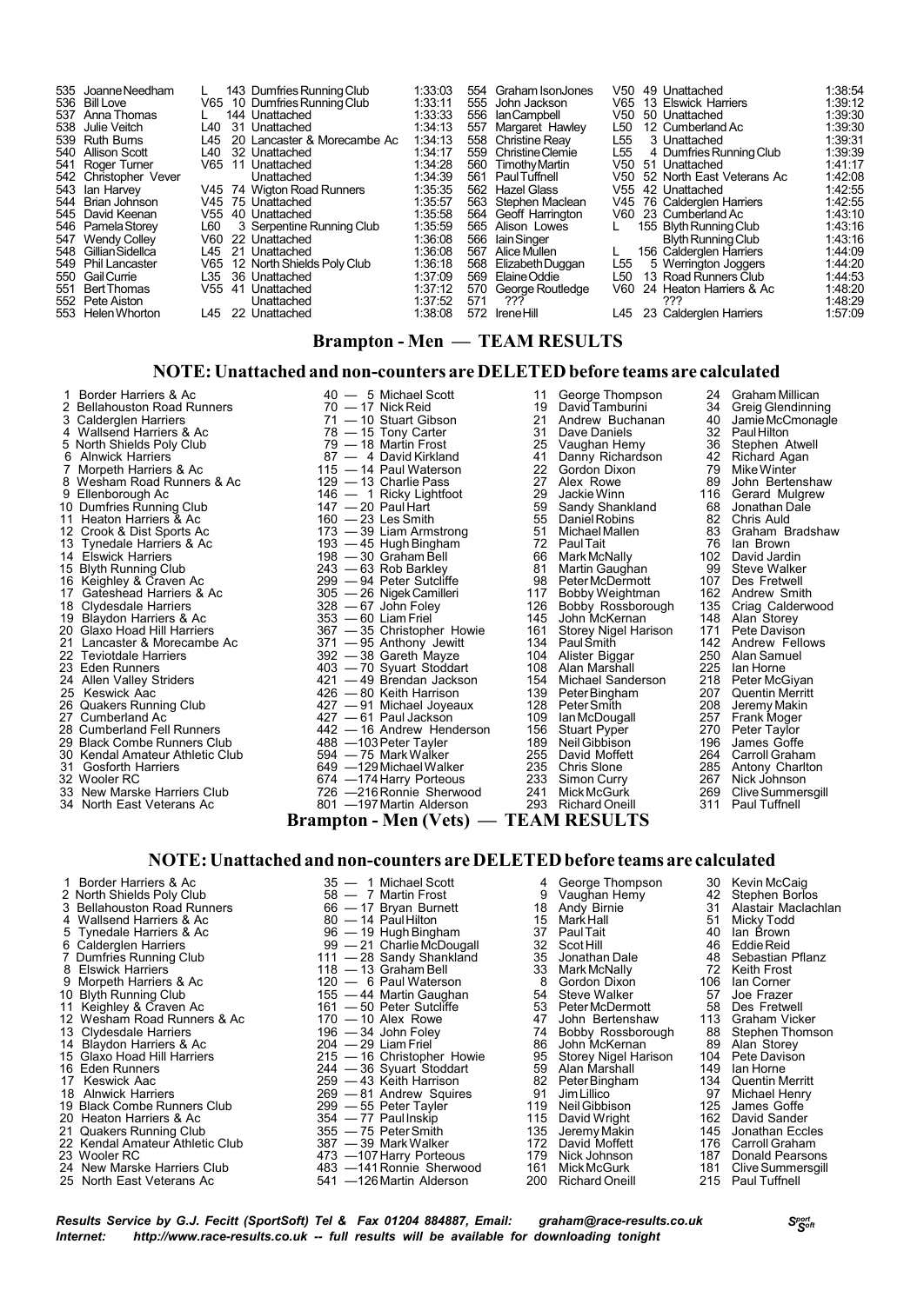#### **Brampton - Men — TEAM RESULTS**

#### **NOTE:Unattached and non-counters are DELETEDbefore teams are calculated**

1 Border Harriers & Ac  $2$  Bellahouston Road Runners (and active metallican of the Harriers of According 20 Michael Scott and the David Tamburini 24 Greig Glendinning<br>19 David Tamburini 24 Greig Glendinning<br>19 Calderglen H 3 Calderglen Harriers 71 — 10 Stuart Gibson 21 Andrew Buchanan 40 JamieMcCmonagle 5 North Shields Poly Club 78 — 15 Tony Carter and 10 Dave Daniels 32 Paul Hilton<br>
5 North Shields Poly Club 79 — 18 Martin Frost 25 Vaughan Hemy 36 Stephen Atwell<br>
6 Alnwick Harriers 87 — 4 David Kirkland 41 Danny Richards 7 Morpeth Harriers & Ac 115 — 14 Paul Waterson 22 Gordon Dixon 79 Mike Winter 7 Alex Rowe 79 Mike Winter 8 Wesham Road Runners & Ac 129 — 13 Charlie Pass 8 Wesham Road Runners & Ac 129 — 13 Charlie Pass 27 Alex Rowe 89 John Bertenshaw<br>9 Ellenborough Ac 146 — 1 Ricky Lightfoot 29 Jackie Winn 116 Gerard Mulgrew 10 Dumfries Running Club 147 — 20 Paul Hart 159 Sandy Shankland 68 Jonathan Dale<br>11 Heaton Harriers & Ac 160 — 23 Les Smith 55 Daniel Robins 82 Chris Auld<br>12 Crook & Dist Sports Ac 173 — 39 Liam Armstrong 51 Michael Mallen 11 Heaton Harriers & Ac 160 — 23 Les Smith 55 DanielRobins 82 Chris Auld 12 Crook & Dist Sports Ac 173 — 39 Liam Armstrong 51 MichaelMallen 83 Graham Bradshaw 13 Tynedale Harriers & Ac 193 — 45 Hugh Bingham 1972 Paul Tait 198 – 72 Paul Tait 198 – 45 Hugh Bingham 1972 PaulTait 198 – 76 Ian Brown<br>14 Elswick Harriers & Ac 198 — 30 Graham Bell 198 – 66 Mark McNally 102 David Jardin 15 Blyth Running Club 243 — 63 Rob Barkley 81 Martin Gaughan 99 Steve Walker 16 Keighley & Craven Ac 299 — 94 Peter Sutcliffe 98 PeterMcDermott 107 Des Fretwell 17 Gateshead Harriers & Ac 305 — 26 NigekCamilleri 117 Bobby Weightman 162 Andrew Smith 18 Clydesdale Harriers 328 — 67 John Foley 126 Bobby Rossborough 135 Criag Calderwood 19 Blaydon Harriers & Ac 305 — 26 Nigek Camilleri 117 Bobby Weightman 162 Andrew Smith<br>18 Clydesdale Harriers & Ac 353 — 60 Liam Friel 145 John McKernan 148 Alan Storey<br>19 Blaydon Harriers & Ac 353 — 60 Liam Friel 145 John 20 Glaxo Hoad Hill Harriers **367 — 35 Christopher Howie** 161 Storey Nigel Harison 171 Pete Davison 21 Lancaster & Morecambe Ac 371 — 95 Anthony Jewitt 134 Paul Smith 142 Andrew Fellows 21 Lancaster & Morecambe Ac 371 — 95 Anthony Jewitt 134 PaulSmith 142 Andrew Fellows 22 Teviotdale Harriers 392 — 38 Gareth Mayze 104 Alister Biggar 250 Alan Samuel 23 Eden Runners 403 — 70 Syuart Stoddart 108 Alan Marshall 225 Ian Horne 24 Allen Valley Striders 421 — 49 Brendan Jackson 154 Michael Sanderson 218 Peter McGiyan 27 Cumberland Ac 201 Allen School (1991)<br>
225 Ian Home<br>
24 Allen Valley Striders<br>
24 Allen Valley Striders<br>
26 Guakers Running Club<br>
26 Guakers Running Club<br>
26 Guakers Running Club<br>
26 Cumberland Ac 207 Quentin Merritta ( 27 Cumberland Ac 427 — 61 Paul Jackson 109 Ian McDougall 257 Frank Moger<br>28 Cumberland Ac 109 Ian McDougall 257 Frank Moger<br>28 Cumberland Fell Runners 442 — 16 Andrew Henderson 156 Stuart Pyper 270 Peter Taylor 28 Cumberland Fell Runners<br>
28 Cumberland Fell Runners Club<br>
29 Black Combe Runners Club<br>
30 Kendal Amateur Athletic Club<br>
30 Kendal Amateur Athletic Club<br>
30 Kendal Amateur Athletic Club<br>
39 Amateur Athletic Club<br>
39 Amat 29 Black Combe Runners Club 488 —103 Peter Tayler 189 Neil Gibbison 196<br>30 Kendal Amateur Athletic Club 594 — 75 Mark Walker 255 David Moffett 264 30 Kendal Amateur Athletic Club 594 — 75 MarkWalker 255 David Moffett 264 Carroll Graham

- 
- 
- 

2 Bellahouston Road Runners 70 — 17 Nick Reid 19 David Tamburini 34<br>
21 Andrew Buchanan 140<br>
21 Mallsend Harriers & Ac 78 — 15 Tony Carter 31 Dave Daniels 32 4 Wallsend Harriers & Ac 78 — 15 Tony Carter 31 Dave Daniels 32 Paul Hilton Alnwick Harriers and Records and Records and Agameters and Bavid Kirkland Morpeth Harriers and Agameters and Agameters and Agameters and Morpeth Harriers & Ac and the Pass and Morpeth Harriers & Ac and the Vinter Wesham Ro 129 — 13 Charlie Pass<br>
146 — 1 Ricky Lightfoot 29 Jackie Winn 20 Jackie Winn 20 Paul Hart<br>
146 — 1 Ricky Lightfoot 29 Jackie Winn 216 Gerard Mulgre<br>
147 — 20 Paul Hart 59 Sandy Shankland 68 Jonathan Dale<br>
160 — 23 Les Smit 198 — 30 Graham Bell 66 Mark McNally 102 David Jardin<br>243 — 63 Rob Barkley 81 Martin Gaughan 99 Steve Walker<br>299 — 94 Peter Sutcliffe 98 Peter McDermott 107 Des Fretwell 26 Duakers Running Club 427 — 91 Michael Joyeaux 128 Peter Smith 208<br>208 Duakers Running Club 427 — 91 Michael Joyeaux 128 Peter Smith 208<br>257 — 91 Paul Jackson 109 Ian McDougall 257 31 Gosforth Harriers examples 649 —129 Michael Walker 235 Chris Slone 285 Antony Charlton 285 Antony Charlton<br>32 Wooler RC 674 —174 Harry Porteous 233 Simon Curry 267 Nick Johnson 32 Wooler RC 674 —174Harry Porteous 233 Simon Curry 267 Nick Johnson 33 New Marske Harriers Club 726 —216Ronnie Sherwood 241 MickMcGurk 269 CliveSummersgill 34 North East Veterans Ac 801 —197Martin Alderson 293 Richard Oneill 311 Paul Tuffnell **Brampton - Men (Vets) — TEAM RESULTS**

- 
- 
- 
- 
- 

## **NOTE:Unattached and non-counters are DELETEDbefore teams are calculated**

4 Wallsend Harriers & Ac 80 — 14 PaulHilton 15 MarkHall 51 Micky Todd 5 Tynedale Harriers & Ac 96 — 19 HughBingham 37 PaulTait 40 Ian Brown 6 Calderglen Harriers 99 — 21 CharlieMcDougall 32 Scot Hill 46 EddieReid 7 Dumfries Running Club 111 — 28 Sandy Shankland 35 Jonathan Dale 48 Sebastian Pflanz 8 Elswick Harriers 118 — 13 Graham Bell 33 Mark McNally 72 Keith Frost 9 Morpeth Harriers & Ac  $\begin{array}{ccc} 9 & \text{Morpeth Harris & Ac} \\ 10 & \text{Blyth Running Club} \\ 11 & \text{Keighley & Craven Ac} \end{array}$  106  $\begin{array}{ccc} 120 & -6 & Paul Watson \\ 155 & -44 & Martin Gaughan \\ 161 & -50 & Peter Such a. \\ 161 & -50 & Peter Such a. \\ 161 & -50 & Peter Such a. \\ 161 & -50 & 161 \\ 161 & -50 & 161 \\$ 10 Blyth Running Club 155 — 155 — 44 Martin Gaughan 154 Steve Walker 57 Joe Frazer<br>11 Keighley & Craven Ac 161 — 50 Peter Sutcliffe 153 Peter McDermott 158 Des Fretwell 12 Wesham Road Runners & Ac 170 — 10 Alex Rowe 147 John Bertenshaw 113 Graham Vicker<br>13 Clydesdale Harriers 196 — 34 John Foley 14 Bobby Rossborough 188 Stephen Thomson<br>14 Blaydon Harriers & Ac 204 — 29 Liam Friel 186 John 13 Clydesdale Harriers 196 — 34 John Foley 74 Bobby Rossborough 88 Stephen Thomson 14 Blaydon Harriers & Ac 204 — 29 Liam Friel 86 John McKernan 89 Alan Storey 15 Glaxo Hoad Hill Harriers 215 — 16 Christopher Howie 95 Storey Nigel Harison 104 Pete Davison<br>16 Eden Runners 244 — 36 Syuart Stoddart 59 Alan Marshall 149 Ian Horne<br>17 Keswick Aac 259 — 43 Keith Harrison 82 Peter Bingha 16 Eden Runners 244 — 36 Syuart Stoddart 59 Alan Marshall 149 Ian Horne 17 Keswick Aac 259 — 43 Keith Harrison 82 PeterBingham 134 Quentin Merritt 18 Alnwick Harriers 18 Andrew 2009 — 81 Andrew Squires 191 Jim Lillico 191 Andrew 191 Jim Lillico 191 Jim Lillico 197 Michael Henry<br>19 Black Combe Runners Club 199 — 95 Peter Tayler 119 Neil Gibbison 125 James Goffe<br>20 Hea 19 Black Combe Runners Club 299 — 55 Peter Tayler 119 NeilGibbison 125 James Goffe 20 Heaton Harriers & Ac 354 — 77 PaulInskip 115 David Wright 162 David Sander 21 Quakers Running Club 355 — 75 PeterSmith 135 Jeremy Makin 145 Jonathan Eccles 22 Kendal Amateur Athletic Club 387 — 39 MarkWalker 172 David Moffett 176 Carroll Graham 21 Quakers Running Club<br>
22 Kendal Amateur Athletic Club<br>
23 Wooler RC 473 —107 Harry Porteous 179 Nick Johnson 187 Donald Pearsons<br>
24 New Marske Harriers Club 483 —141 Ronnie Sherwood 161 Mick McGurk 181 Clive Summersgil 24 New Marske Harriers Club 483 —141Ronnie Sherwood 161 MickMcGurk 181 CliveSummersgill 25 North East Veterans Ac 541 —126Martin Alderson 200 Richard Oneill 215 Paul Tuffnell

- -
	-
	-
- 
- 
- 
- 
- 
- 
- 
- 
- 
- 
- 
- 
- 
- 
- 
- 
- 
- 
- 
- 1 Border Harriers & Ac 35 1 Michael Scott 4 George Thompson 30 Kevin McCaig 2 North Shields Poly Club 58 7 Martin Frost 9 Vaughan Hemy 42 Stephen Borlos
- $\begin{array}{l|l|l} \text{35} & \text{46} & \text{57} & \text{58} & \text{58} & \text{58} & \text{59} \\ \text{47} & \text{58} & \text{58} & \text{59} & \text{59} & \text{59} & \text{59} \\ \text{58} & \text{58} & \text{58} & \text{59} & \text{59} & \text{59} & \text{59} \\ \text{69} & \text{60} & \text{60} & \text{61} & \text{61} & \text{62} \\ \text{7} & \text{80} & \text{7} & \$ 
	-
	-
	-
	-
	-
	-

- 
- 
- 

- -
	-
	-
	-
	-
	-

- 
- -
- - -
		-
		-